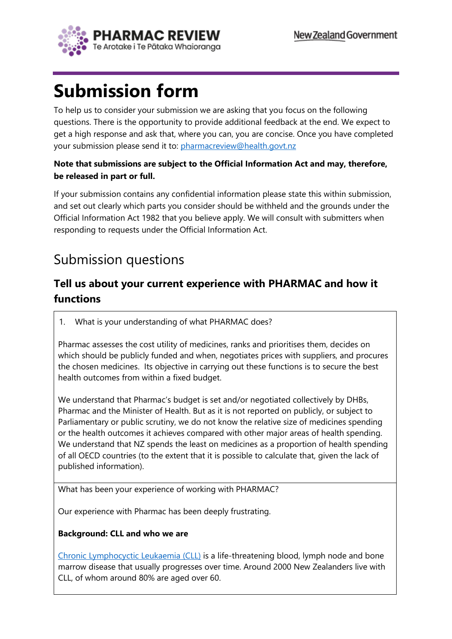

# **Submission form**

To help us to consider your submission we are asking that you focus on the following questions. There is the opportunity to provide additional feedback at the end. We expect to get a high response and ask that, where you can, you are concise. Once you have completed your submission please send it to: [pharmacreview@health.govt.nz](mailto:pharmacreview@health.govt.nz)

#### **Note that submissions are subject to the Official Information Act and may, therefore, be released in part or full.**

If your submission contains any confidential information please state this within submission, and set out clearly which parts you consider should be withheld and the grounds under the Official Information Act 1982 that you believe apply. We will consult with submitters when responding to requests under the Official Information Act.

## Submission questions

### **Tell us about your current experience with PHARMAC and how it functions**

1. What is your understanding of what PHARMAC does?

Pharmac assesses the cost utility of medicines, ranks and prioritises them, decides on which should be publicly funded and when, negotiates prices with suppliers, and procures the chosen medicines. Its objective in carrying out these functions is to secure the best health outcomes from within a fixed budget.

We understand that Pharmac's budget is set and/or negotiated collectively by DHBs, Pharmac and the Minister of Health. But as it is not reported on publicly, or subject to Parliamentary or public scrutiny, we do not know the relative size of medicines spending or the health outcomes it achieves compared with other major areas of health spending. We understand that NZ spends the least on medicines as a proportion of health spending of all OECD countries (to the extent that it is possible to calculate that, given the lack of published information).

What has been your experience of working with PHARMAC?

Our experience with Pharmac has been deeply frustrating.

#### **Background: CLL and who we are**

[Chronic Lymphocyctic Leukaemia \(CLL\)](https://clladvocates.nz/?page_id=117) is a life-threatening blood, lymph node and bone marrow disease that usually progresses over time. Around 2000 New Zealanders live with CLL, of whom around 80% are aged over 60.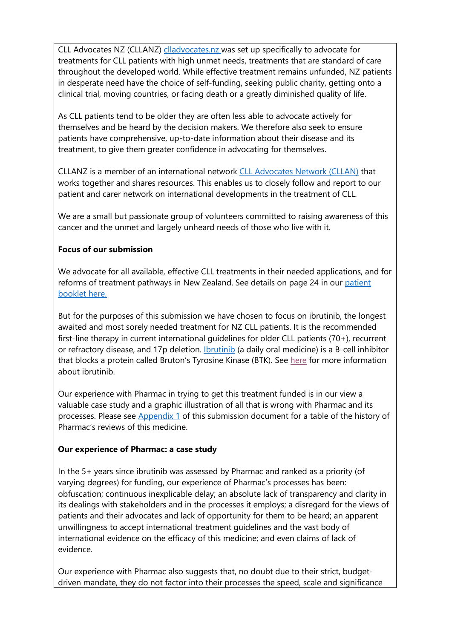CLL Advocates NZ (CLLANZ) [clladvocates.nz](https://clladvocates.nz/) was set up specifically to advocate for treatments for CLL patients with high unmet needs, treatments that are standard of care throughout the developed world. While effective treatment remains unfunded, NZ patients in desperate need have the choice of self-funding, seeking public charity, getting onto a clinical trial, moving countries, or facing death or a greatly diminished quality of life.

As CLL patients tend to be older they are often less able to advocate actively for themselves and be heard by the decision makers. We therefore also seek to ensure patients have comprehensive, up-to-date information about their disease and its treatment, to give them greater confidence in advocating for themselves.

CLLANZ is a member of an international network [CLL Advocates Network \(CLLAN\)](https://www.clladvocates.net/) that works together and shares resources. This enables us to closely follow and report to our patient and carer network on international developments in the treatment of CLL.

We are a small but passionate group of volunteers committed to raising awareness of this cancer and the unmet and largely unheard needs of those who live with it.

#### **Focus of our submission**

We advocate for all available, effective CLL treatments in their needed applications, and for reforms of treatment pathways in New Zealand. See details on page 24 in our [patient](https://clladvocates.nz/wp-content/uploads/2021/02/CLLANZ-Patient-Booklet-2021.pdf) [booklet here.](https://clladvocates.nz/wp-content/uploads/2021/02/CLLANZ-Patient-Booklet-2021.pdf)

But for the purposes of this submission we have chosen to focus on ibrutinib, the longest awaited and most sorely needed treatment for NZ CLL patients. It is the recommended first-line therapy in current international guidelines for older CLL patients (70+), recurrent or refractory disease, and 17p deletion. [Ibrutinib](https://clladvocates.nz/?page_id=16831) (a daily oral medicine) is a B-cell inhibitor that blocks a protein called Bruton's Tyrosine Kinase (BTK). See [here](https://clladvocates.nz/?page_id=16831) for more information about ibrutinib.

Our experience with Pharmac in trying to get this treatment funded is in our view a valuable case study and a graphic illustration of all that is wrong with Pharmac and its processes. Please see [Appendix 1](#page-11-0) of this submission document for a table of the history of Pharmac's reviews of this medicine.

#### **Our experience of Pharmac: a case study**

In the 5+ years since ibrutinib was assessed by Pharmac and ranked as a priority (of varying degrees) for funding, our experience of Pharmac's processes has been: obfuscation; continuous inexplicable delay; an absolute lack of transparency and clarity in its dealings with stakeholders and in the processes it employs; a disregard for the views of patients and their advocates and lack of opportunity for them to be heard; an apparent unwillingness to accept international treatment guidelines and the vast body of international evidence on the efficacy of this medicine; and even claims of lack of evidence.

Our experience with Pharmac also suggests that, no doubt due to their strict, budgetdriven mandate, they do not factor into their processes the speed, scale and significance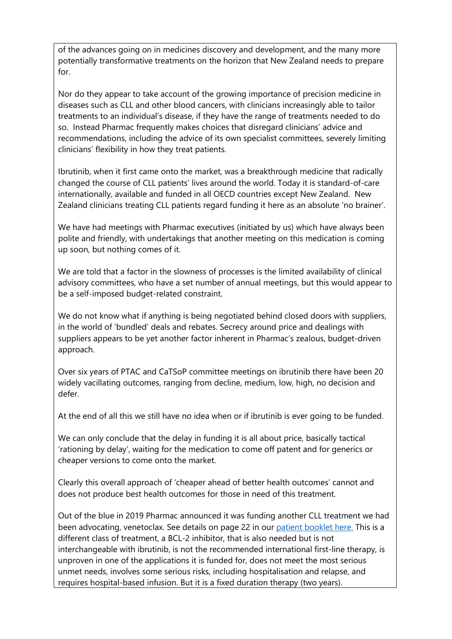of the advances going on in medicines discovery and development, and the many more potentially transformative treatments on the horizon that New Zealand needs to prepare for.

Nor do they appear to take account of the growing importance of precision medicine in diseases such as CLL and other blood cancers, with clinicians increasingly able to tailor treatments to an individual's disease, if they have the range of treatments needed to do so. Instead Pharmac frequently makes choices that disregard clinicians' advice and recommendations, including the advice of its own specialist committees, severely limiting clinicians' flexibility in how they treat patients.

Ibrutinib, when it first came onto the market, was a breakthrough medicine that radically changed the course of CLL patients' lives around the world. Today it is standard-of-care internationally, available and funded in all OECD countries except New Zealand. New Zealand clinicians treating CLL patients regard funding it here as an absolute 'no brainer'.

We have had meetings with Pharmac executives (initiated by us) which have always been polite and friendly, with undertakings that another meeting on this medication is coming up soon, but nothing comes of it.

We are told that a factor in the slowness of processes is the limited availability of clinical advisory committees, who have a set number of annual meetings, but this would appear to be a self-imposed budget-related constraint.

We do not know what if anything is being negotiated behind closed doors with suppliers, in the world of 'bundled' deals and rebates. Secrecy around price and dealings with suppliers appears to be yet another factor inherent in Pharmac's zealous, budget-driven approach.

Over six years of PTAC and CaTSoP committee meetings on ibrutinib there have been 20 widely vacillating outcomes, ranging from decline, medium, low, high, no decision and defer.

At the end of all this we still have no idea when or if ibrutinib is ever going to be funded.

We can only conclude that the delay in funding it is all about price, basically tactical 'rationing by delay', waiting for the medication to come off patent and for generics or cheaper versions to come onto the market.

Clearly this overall approach of 'cheaper ahead of better health outcomes' cannot and does not produce best health outcomes for those in need of this treatment.

Out of the blue in 2019 Pharmac announced it was funding another CLL treatment we had been advocating, venetoclax. See details on page 22 in our [patient booklet here.](https://clladvocates.nz/wp-content/uploads/2021/02/CLLANZ-Patient-Booklet-2021.pdf) This is a different class of treatment, a BCL-2 inhibitor, that is also needed but is not interchangeable with ibrutinib, is not the recommended international first-line therapy, is unproven in one of the applications it is funded for, does not meet the most serious unmet needs, involves some serious risks, including hospitalisation and relapse, and requires hospital-based infusion. But it is a fixed duration therapy (two years).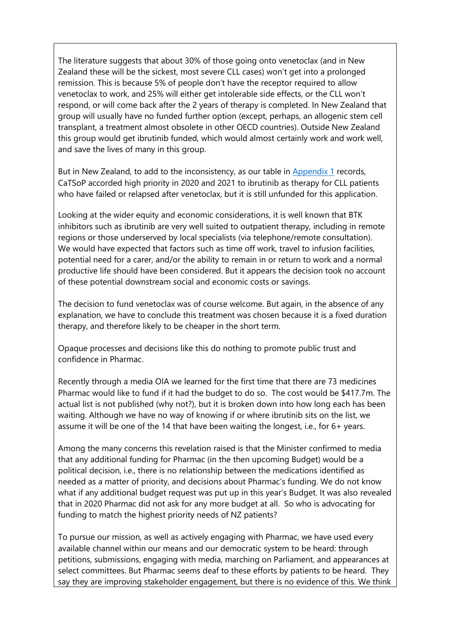The literature suggests that about 30% of those going onto venetoclax (and in New Zealand these will be the sickest, most severe CLL cases) won't get into a prolonged remission. This is because 5% of people don't have the receptor required to allow venetoclax to work, and 25% will either get intolerable side effects, or the CLL won't respond, or will come back after the 2 years of therapy is completed. In New Zealand that group will usually have no funded further option (except, perhaps, an allogenic stem cell transplant, a treatment almost obsolete in other OECD countries). Outside New Zealand this group would get ibrutinib funded, which would almost certainly work and work well, and save the lives of many in this group.

But in New Zealand, to add to the inconsistency, as our table in [Appendix 1](#page-11-0) records, CaTSoP accorded high priority in 2020 and 2021 to ibrutinib as therapy for CLL patients who have failed or relapsed after venetoclax, but it is still unfunded for this application.

Looking at the wider equity and economic considerations, it is well known that BTK inhibitors such as ibrutinib are very well suited to outpatient therapy, including in remote regions or those underserved by local specialists (via telephone/remote consultation). We would have expected that factors such as time off work, travel to infusion facilities, potential need for a carer, and/or the ability to remain in or return to work and a normal productive life should have been considered. But it appears the decision took no account of these potential downstream social and economic costs or savings.

The decision to fund venetoclax was of course welcome. But again, in the absence of any explanation, we have to conclude this treatment was chosen because it is a fixed duration therapy, and therefore likely to be cheaper in the short term.

Opaque processes and decisions like this do nothing to promote public trust and confidence in Pharmac.

Recently through a media OIA we learned for the first time that there are 73 medicines Pharmac would like to fund if it had the budget to do so. The cost would be \$417.7m. The actual list is not published (why not?), but it is broken down into how long each has been waiting. Although we have no way of knowing if or where ibrutinib sits on the list, we assume it will be one of the 14 that have been waiting the longest, i.e., for 6+ years.

Among the many concerns this revelation raised is that the Minister confirmed to media that any additional funding for Pharmac (in the then upcoming Budget) would be a political decision, i.e., there is no relationship between the medications identified as needed as a matter of priority, and decisions about Pharmac's funding. We do not know what if any additional budget request was put up in this year's Budget. It was also revealed that in 2020 Pharmac did not ask for any more budget at all. So who is advocating for funding to match the highest priority needs of NZ patients?

To pursue our mission, as well as actively engaging with Pharmac, we have used every available channel within our means and our democratic system to be heard: through petitions, submissions, engaging with media, marching on Parliament, and appearances at select committees. But Pharmac seems deaf to these efforts by patients to be heard. They say they are improving stakeholder engagement, but there is no evidence of this. We think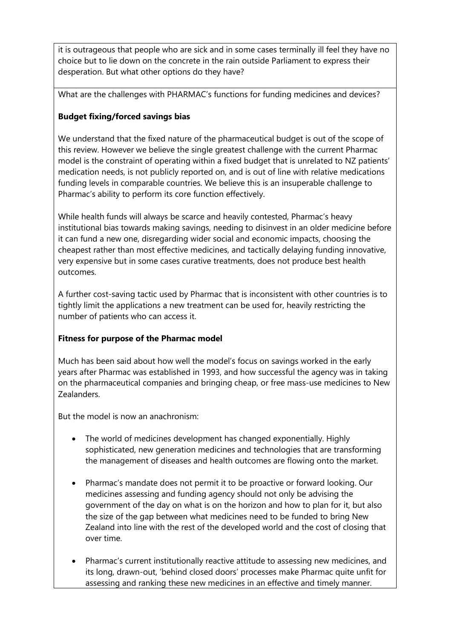it is outrageous that people who are sick and in some cases terminally ill feel they have no choice but to lie down on the concrete in the rain outside Parliament to express their desperation. But what other options do they have?

What are the challenges with PHARMAC's functions for funding medicines and devices?

#### **Budget fixing/forced savings bias**

We understand that the fixed nature of the pharmaceutical budget is out of the scope of this review. However we believe the single greatest challenge with the current Pharmac model is the constraint of operating within a fixed budget that is unrelated to NZ patients' medication needs, is not publicly reported on, and is out of line with relative medications funding levels in comparable countries. We believe this is an insuperable challenge to Pharmac's ability to perform its core function effectively.

While health funds will always be scarce and heavily contested, Pharmac's heavy institutional bias towards making savings, needing to disinvest in an older medicine before it can fund a new one, disregarding wider social and economic impacts, choosing the cheapest rather than most effective medicines, and tactically delaying funding innovative, very expensive but in some cases curative treatments, does not produce best health outcomes.

A further cost-saving tactic used by Pharmac that is inconsistent with other countries is to tightly limit the applications a new treatment can be used for, heavily restricting the number of patients who can access it.

#### **Fitness for purpose of the Pharmac model**

Much has been said about how well the model's focus on savings worked in the early years after Pharmac was established in 1993, and how successful the agency was in taking on the pharmaceutical companies and bringing cheap, or free mass-use medicines to New Zealanders.

But the model is now an anachronism:

- The world of medicines development has changed exponentially. Highly sophisticated, new generation medicines and technologies that are transforming the management of diseases and health outcomes are flowing onto the market.
- Pharmac's mandate does not permit it to be proactive or forward looking. Our medicines assessing and funding agency should not only be advising the government of the day on what is on the horizon and how to plan for it, but also the size of the gap between what medicines need to be funded to bring New Zealand into line with the rest of the developed world and the cost of closing that over time.
- Pharmac's current institutionally reactive attitude to assessing new medicines, and its long, drawn-out, 'behind closed doors' processes make Pharmac quite unfit for assessing and ranking these new medicines in an effective and timely manner.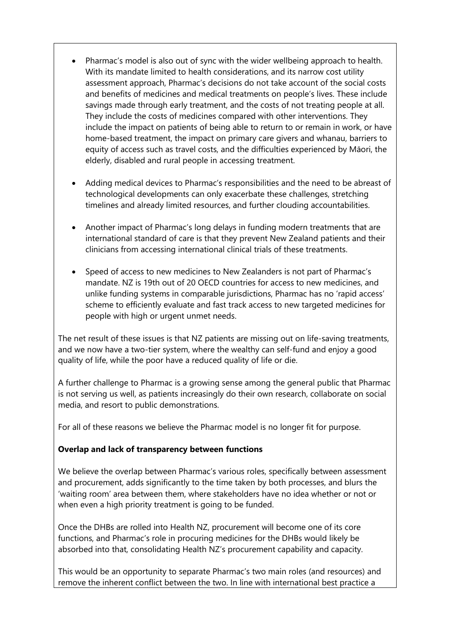- Pharmac's model is also out of sync with the wider wellbeing approach to health. With its mandate limited to health considerations, and its narrow cost utility assessment approach, Pharmac's decisions do not take account of the social costs and benefits of medicines and medical treatments on people's lives. These include savings made through early treatment, and the costs of not treating people at all. They include the costs of medicines compared with other interventions. They include the impact on patients of being able to return to or remain in work, or have home-based treatment, the impact on primary care givers and whanau, barriers to equity of access such as travel costs, and the difficulties experienced by Māori, the elderly, disabled and rural people in accessing treatment.
- Adding medical devices to Pharmac's responsibilities and the need to be abreast of technological developments can only exacerbate these challenges, stretching timelines and already limited resources, and further clouding accountabilities.
- Another impact of Pharmac's long delays in funding modern treatments that are international standard of care is that they prevent New Zealand patients and their clinicians from accessing international clinical trials of these treatments.
- Speed of access to new medicines to New Zealanders is not part of Pharmac's mandate. NZ is 19th out of 20 OECD countries for access to new medicines, and unlike funding systems in comparable jurisdictions, Pharmac has no 'rapid access' scheme to efficiently evaluate and fast track access to new targeted medicines for people with high or urgent unmet needs.

The net result of these issues is that NZ patients are missing out on life-saving treatments, and we now have a two-tier system, where the wealthy can self-fund and enjoy a good quality of life, while the poor have a reduced quality of life or die.

A further challenge to Pharmac is a growing sense among the general public that Pharmac is not serving us well, as patients increasingly do their own research, collaborate on social media, and resort to public demonstrations.

For all of these reasons we believe the Pharmac model is no longer fit for purpose.

#### **Overlap and lack of transparency between functions**

We believe the overlap between Pharmac's various roles, specifically between assessment and procurement, adds significantly to the time taken by both processes, and blurs the 'waiting room' area between them, where stakeholders have no idea whether or not or when even a high priority treatment is going to be funded.

Once the DHBs are rolled into Health NZ, procurement will become one of its core functions, and Pharmac's role in procuring medicines for the DHBs would likely be absorbed into that, consolidating Health NZ's procurement capability and capacity.

This would be an opportunity to separate Pharmac's two main roles (and resources) and remove the inherent conflict between the two. In line with international best practice a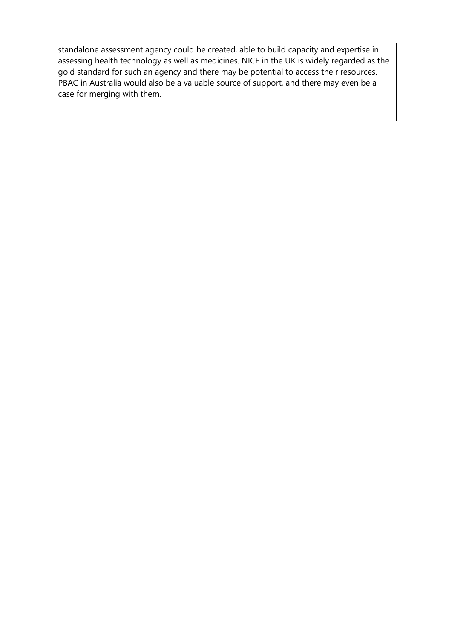standalone assessment agency could be created, able to build capacity and expertise in assessing health technology as well as medicines. NICE in the UK is widely regarded as the gold standard for such an agency and there may be potential to access their resources. PBAC in Australia would also be a valuable source of support, and there may even be a case for merging with them.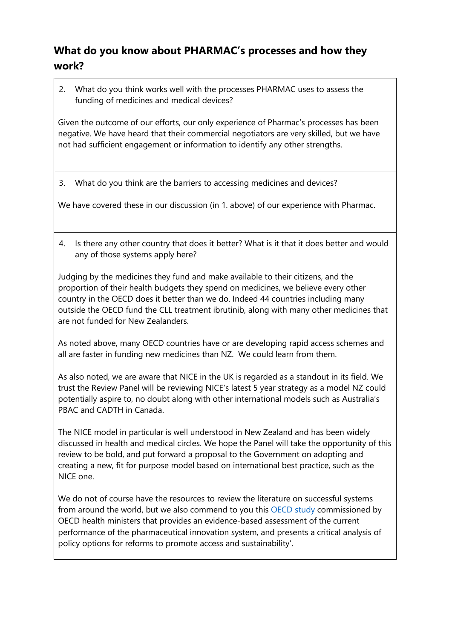## **What do you know about PHARMAC's processes and how they work?**

2. What do you think works well with the processes PHARMAC uses to assess the funding of medicines and medical devices?

Given the outcome of our efforts, our only experience of Pharmac's processes has been negative. We have heard that their commercial negotiators are very skilled, but we have not had sufficient engagement or information to identify any other strengths.

3. What do you think are the barriers to accessing medicines and devices?

We have covered these in our discussion (in 1. above) of our experience with Pharmac.

4. Is there any other country that does it better? What is it that it does better and would any of those systems apply here?

Judging by the medicines they fund and make available to their citizens, and the proportion of their health budgets they spend on medicines, we believe every other country in the OECD does it better than we do. Indeed 44 countries including many outside the OECD fund the CLL treatment ibrutinib, along with many other medicines that are not funded for New Zealanders.

As noted above, many OECD countries have or are developing rapid access schemes and all are faster in funding new medicines than NZ. We could learn from them.

As also noted, we are aware that NICE in the UK is regarded as a standout in its field. We trust the Review Panel will be reviewing NICE's latest 5 year strategy as a model NZ could potentially aspire to, no doubt along with other international models such as Australia's PBAC and CADTH in Canada.

The NICE model in particular is well understood in New Zealand and has been widely discussed in health and medical circles. We hope the Panel will take the opportunity of this review to be bold, and put forward a proposal to the Government on adopting and creating a new, fit for purpose model based on international best practice, such as the NICE one.

We do not of course have the resources to review the literature on successful systems from around the world, but we also commend to you this **OECD** study commissioned by OECD health ministers that provides an evidence-based assessment of the current performance of the pharmaceutical innovation system, and presents a critical analysis of policy options for reforms to promote access and sustainability'.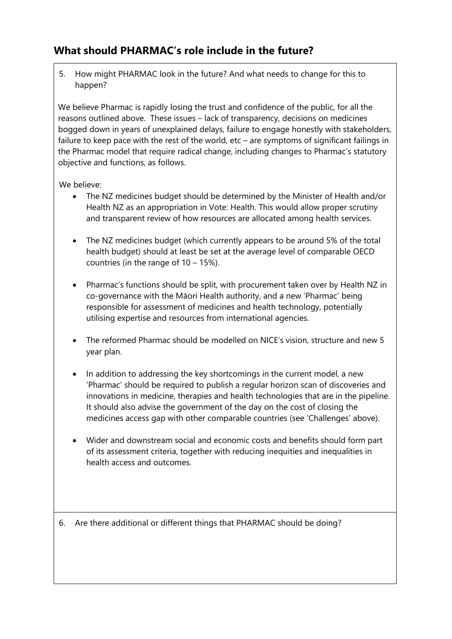### **What should PHARMAC's role include in the future?**

5. How might PHARMAC look in the future? And what needs to change for this to happen?

We believe Pharmac is rapidly losing the trust and confidence of the public, for all the reasons outlined above. These issues – lack of transparency, decisions on medicines bogged down in years of unexplained delays, failure to engage honestly with stakeholders, failure to keep pace with the rest of the world, etc – are symptoms of significant failings in the Pharmac model that require radical change, including changes to Pharmac's statutory objective and functions, as follows.

We believe:

- The NZ medicines budget should be determined by the Minister of Health and/or Health NZ as an appropriation in Vote: Health. This would allow proper scrutiny and transparent review of how resources are allocated among health services.
- The NZ medicines budget (which currently appears to be around 5% of the total health budget) should at least be set at the average level of comparable OECD countries (in the range of 10 – 15%).
- Pharmac's functions should be split, with procurement taken over by Health NZ in co-governance with the Māori Health authority, and a new 'Pharmac' being responsible for assessment of medicines and health technology, potentially utilising expertise and resources from international agencies.
- The reformed Pharmac should be modelled on NICE's vision, structure and new 5 year plan.
- In addition to addressing the key shortcomings in the current model, a new 'Pharmac' should be required to publish a regular horizon scan of discoveries and innovations in medicine, therapies and health technologies that are in the pipeline. It should also advise the government of the day on the cost of closing the medicines access gap with other comparable countries (see 'Challenges' above).
- Wider and downstream social and economic costs and benefits should form part of its assessment criteria, together with reducing inequities and inequalities in health access and outcomes.

6. Are there additional or different things that PHARMAC should be doing?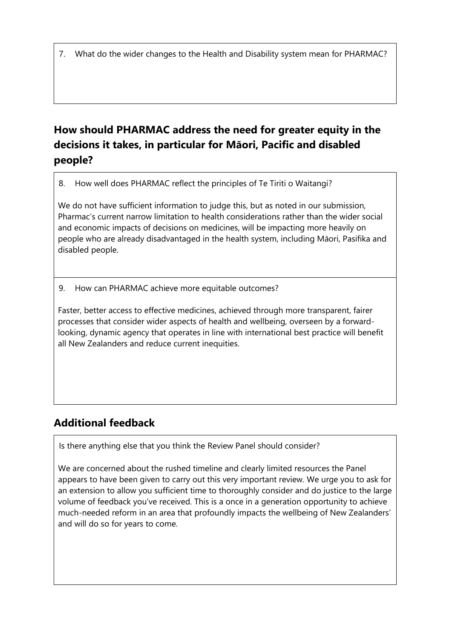7. What do the wider changes to the Health and Disability system mean for PHARMAC?

## **How should PHARMAC address the need for greater equity in the decisions it takes, in particular for Māori, Pacific and disabled people?**

8. How well does PHARMAC reflect the principles of Te Tiriti o Waitangi?

We do not have sufficient information to judge this, but as noted in our submission, Pharmac's current narrow limitation to health considerations rather than the wider social and economic impacts of decisions on medicines, will be impacting more heavily on people who are already disadvantaged in the health system, including Māori, Pasifika and disabled people.

9. How can PHARMAC achieve more equitable outcomes?

Faster, better access to effective medicines, achieved through more transparent, fairer processes that consider wider aspects of health and wellbeing, overseen by a forwardlooking, dynamic agency that operates in line with international best practice will benefit all New Zealanders and reduce current inequities.

## **Additional feedback**

Is there anything else that you think the Review Panel should consider?

We are concerned about the rushed timeline and clearly limited resources the Panel appears to have been given to carry out this very important review. We urge you to ask for an extension to allow you sufficient time to thoroughly consider and do justice to the large volume of feedback you've received. This is a once in a generation opportunity to achieve much-needed reform in an area that profoundly impacts the wellbeing of New Zealanders' and will do so for years to come.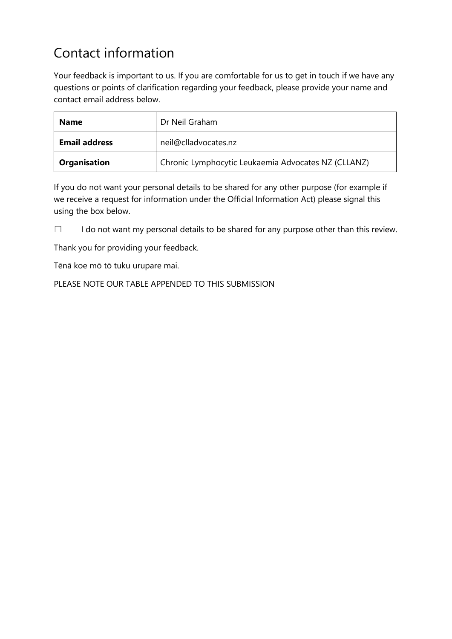## Contact information

Your feedback is important to us. If you are comfortable for us to get in touch if we have any questions or points of clarification regarding your feedback, please provide your name and contact email address below.

| <b>Name</b>          | Dr Neil Graham                                      |  |  |
|----------------------|-----------------------------------------------------|--|--|
| <b>Email address</b> | neil@clladvocates.nz                                |  |  |
| Organisation         | Chronic Lymphocytic Leukaemia Advocates NZ (CLLANZ) |  |  |

If you do not want your personal details to be shared for any other purpose (for example if we receive a request for information under the Official Information Act) please signal this using the box below.

☐ I do not want my personal details to be shared for any purpose other than this review.

Thank you for providing your feedback.

Tēnā koe mō tō tuku urupare mai.

PLEASE NOTE OUR TABLE APPENDED TO THIS SUBMISSION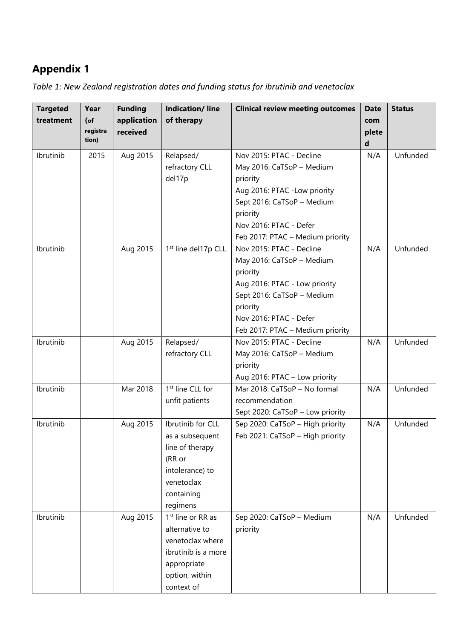## <span id="page-11-0"></span>**Appendix 1**

| Table 1: New Zealand registration dates and funding status for ibrutinib and venetoclax |  |  |
|-----------------------------------------------------------------------------------------|--|--|
|                                                                                         |  |  |

| <b>Targeted</b>                     | Year     | <b>Funding</b>                   | <b>Indication/line</b>                                                                                                                                                                                                                                                                                                                        | <b>Clinical review meeting outcomes</b>                                                                                                                                                                                                                                       | <b>Date</b>       | <b>Status</b>                    |
|-------------------------------------|----------|----------------------------------|-----------------------------------------------------------------------------------------------------------------------------------------------------------------------------------------------------------------------------------------------------------------------------------------------------------------------------------------------|-------------------------------------------------------------------------------------------------------------------------------------------------------------------------------------------------------------------------------------------------------------------------------|-------------------|----------------------------------|
| treatment                           | $($ of   | application                      | of therapy                                                                                                                                                                                                                                                                                                                                    |                                                                                                                                                                                                                                                                               | com               |                                  |
|                                     | registra | received                         |                                                                                                                                                                                                                                                                                                                                               |                                                                                                                                                                                                                                                                               | plete             |                                  |
|                                     | tion)    |                                  |                                                                                                                                                                                                                                                                                                                                               |                                                                                                                                                                                                                                                                               | d                 |                                  |
| Ibrutinib                           | 2015     | Aug 2015                         | Relapsed/                                                                                                                                                                                                                                                                                                                                     | Nov 2015: PTAC - Decline                                                                                                                                                                                                                                                      | N/A               | Unfunded                         |
|                                     |          |                                  | refractory CLL                                                                                                                                                                                                                                                                                                                                | May 2016: CaTSoP - Medium                                                                                                                                                                                                                                                     |                   |                                  |
|                                     |          |                                  | del17p                                                                                                                                                                                                                                                                                                                                        | priority                                                                                                                                                                                                                                                                      |                   |                                  |
|                                     |          |                                  |                                                                                                                                                                                                                                                                                                                                               | Aug 2016: PTAC -Low priority                                                                                                                                                                                                                                                  |                   |                                  |
|                                     |          |                                  |                                                                                                                                                                                                                                                                                                                                               | Sept 2016: CaTSoP - Medium                                                                                                                                                                                                                                                    |                   |                                  |
|                                     |          |                                  |                                                                                                                                                                                                                                                                                                                                               | priority                                                                                                                                                                                                                                                                      |                   |                                  |
|                                     |          |                                  |                                                                                                                                                                                                                                                                                                                                               | Nov 2016: PTAC - Defer                                                                                                                                                                                                                                                        |                   |                                  |
|                                     |          |                                  |                                                                                                                                                                                                                                                                                                                                               | Feb 2017: PTAC - Medium priority                                                                                                                                                                                                                                              |                   |                                  |
| Ibrutinib                           |          | Aug 2015                         | 1 <sup>st</sup> line del17p CLL                                                                                                                                                                                                                                                                                                               | Nov 2015: PTAC - Decline                                                                                                                                                                                                                                                      | N/A               | Unfunded                         |
|                                     |          |                                  |                                                                                                                                                                                                                                                                                                                                               | May 2016: CaTSoP - Medium                                                                                                                                                                                                                                                     |                   |                                  |
|                                     |          |                                  |                                                                                                                                                                                                                                                                                                                                               | priority                                                                                                                                                                                                                                                                      |                   |                                  |
|                                     |          |                                  |                                                                                                                                                                                                                                                                                                                                               | Aug 2016: PTAC - Low priority                                                                                                                                                                                                                                                 |                   |                                  |
|                                     |          |                                  |                                                                                                                                                                                                                                                                                                                                               | Sept 2016: CaTSoP - Medium                                                                                                                                                                                                                                                    |                   |                                  |
|                                     |          |                                  |                                                                                                                                                                                                                                                                                                                                               | priority                                                                                                                                                                                                                                                                      |                   |                                  |
|                                     |          |                                  |                                                                                                                                                                                                                                                                                                                                               | Nov 2016: PTAC - Defer                                                                                                                                                                                                                                                        |                   |                                  |
|                                     |          |                                  |                                                                                                                                                                                                                                                                                                                                               | Feb 2017: PTAC - Medium priority                                                                                                                                                                                                                                              |                   |                                  |
| Ibrutinib                           |          | Aug 2015                         | Relapsed/                                                                                                                                                                                                                                                                                                                                     | Nov 2015: PTAC - Decline                                                                                                                                                                                                                                                      | N/A               | Unfunded                         |
|                                     |          |                                  |                                                                                                                                                                                                                                                                                                                                               |                                                                                                                                                                                                                                                                               |                   |                                  |
|                                     |          |                                  |                                                                                                                                                                                                                                                                                                                                               |                                                                                                                                                                                                                                                                               |                   |                                  |
|                                     |          |                                  |                                                                                                                                                                                                                                                                                                                                               |                                                                                                                                                                                                                                                                               |                   |                                  |
|                                     |          |                                  |                                                                                                                                                                                                                                                                                                                                               |                                                                                                                                                                                                                                                                               |                   |                                  |
|                                     |          |                                  |                                                                                                                                                                                                                                                                                                                                               |                                                                                                                                                                                                                                                                               |                   |                                  |
|                                     |          |                                  |                                                                                                                                                                                                                                                                                                                                               |                                                                                                                                                                                                                                                                               |                   |                                  |
|                                     |          |                                  |                                                                                                                                                                                                                                                                                                                                               |                                                                                                                                                                                                                                                                               |                   |                                  |
|                                     |          |                                  |                                                                                                                                                                                                                                                                                                                                               |                                                                                                                                                                                                                                                                               |                   |                                  |
|                                     |          |                                  |                                                                                                                                                                                                                                                                                                                                               |                                                                                                                                                                                                                                                                               |                   |                                  |
|                                     |          |                                  |                                                                                                                                                                                                                                                                                                                                               |                                                                                                                                                                                                                                                                               |                   |                                  |
|                                     |          |                                  |                                                                                                                                                                                                                                                                                                                                               |                                                                                                                                                                                                                                                                               |                   |                                  |
|                                     |          |                                  |                                                                                                                                                                                                                                                                                                                                               |                                                                                                                                                                                                                                                                               |                   |                                  |
|                                     |          |                                  |                                                                                                                                                                                                                                                                                                                                               |                                                                                                                                                                                                                                                                               |                   |                                  |
|                                     |          |                                  |                                                                                                                                                                                                                                                                                                                                               |                                                                                                                                                                                                                                                                               |                   |                                  |
|                                     |          |                                  |                                                                                                                                                                                                                                                                                                                                               |                                                                                                                                                                                                                                                                               |                   |                                  |
|                                     |          |                                  |                                                                                                                                                                                                                                                                                                                                               |                                                                                                                                                                                                                                                                               |                   |                                  |
|                                     |          |                                  |                                                                                                                                                                                                                                                                                                                                               |                                                                                                                                                                                                                                                                               |                   |                                  |
|                                     |          |                                  |                                                                                                                                                                                                                                                                                                                                               |                                                                                                                                                                                                                                                                               |                   |                                  |
|                                     |          |                                  |                                                                                                                                                                                                                                                                                                                                               |                                                                                                                                                                                                                                                                               |                   |                                  |
|                                     |          |                                  |                                                                                                                                                                                                                                                                                                                                               |                                                                                                                                                                                                                                                                               |                   |                                  |
| Ibrutinib<br>Ibrutinib<br>Ibrutinib |          | Mar 2018<br>Aug 2015<br>Aug 2015 | refractory CLL<br>1 <sup>st</sup> line CLL for<br>unfit patients<br>Ibrutinib for CLL<br>as a subsequent<br>line of therapy<br>(RR or<br>intolerance) to<br>venetoclax<br>containing<br>regimens<br>1 <sup>st</sup> line or RR as<br>alternative to<br>venetoclax where<br>ibrutinib is a more<br>appropriate<br>option, within<br>context of | May 2016: CaTSoP - Medium<br>priority<br>Aug 2016: PTAC - Low priority<br>Mar 2018: CaTSoP - No formal<br>recommendation<br>Sept 2020: CaTSoP - Low priority<br>Sep 2020: CaTSoP - High priority<br>Feb 2021: CaTSoP - High priority<br>Sep 2020: CaTSoP - Medium<br>priority | N/A<br>N/A<br>N/A | Unfunded<br>Unfunded<br>Unfunded |